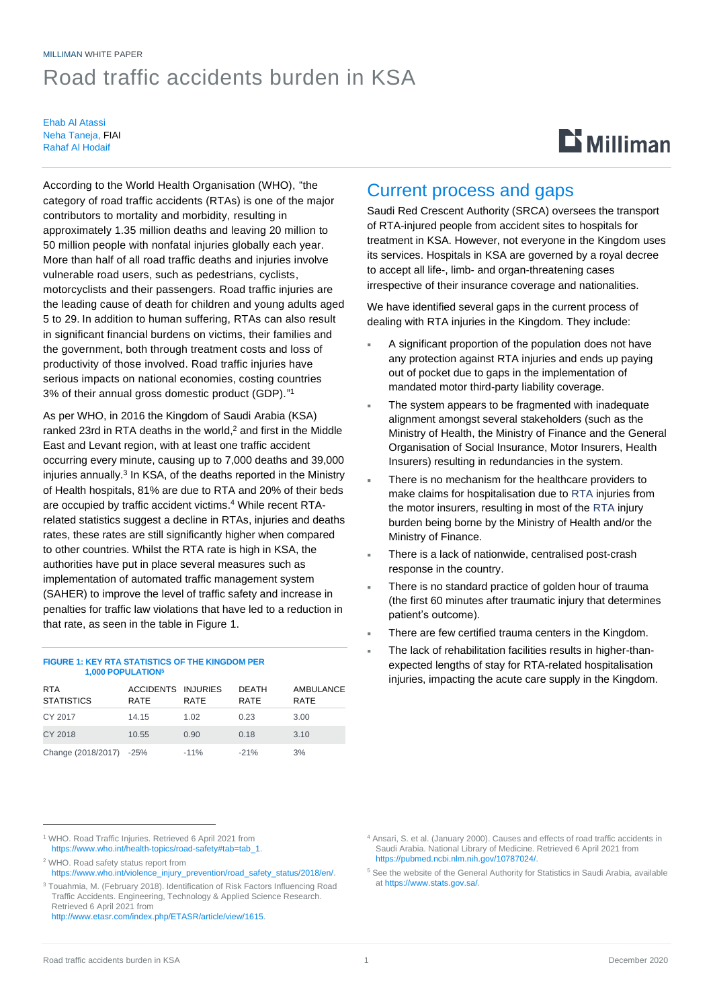## MILLIMAN WHITE PAPER Road traffic accidents burden in KSA

Ehab Al Atassi Neha Taneja, FIAI Rahaf Al Hodaif

# $\mathbf{D}$  Milliman

According to the World Health Organisation (WHO), "the category of road traffic accidents (RTAs) is one of the major contributors to mortality and morbidity, resulting in approximately 1.35 million deaths and leaving 20 million to 50 million people with nonfatal injuries globally each year. More than half of all road traffic deaths and injuries involve vulnerable road users, such as pedestrians, cyclists, motorcyclists and their passengers. Road traffic injuries are the leading cause of death for children and young adults aged 5 to 29. In addition to human suffering, RTAs can also result in significant financial burdens on victims, their families and the government, both through treatment costs and loss of productivity of those involved. Road traffic injuries have serious impacts on national economies, costing countries 3% of their annual gross domestic product (GDP)." 1

As per WHO, in 2016 the Kingdom of Saudi Arabia (KSA) ranked 23rd in RTA deaths in the world, <sup>2</sup> and first in the Middle East and Levant region, with at least one traffic accident occurring every minute, causing up to 7,000 deaths and 39,000 injuries annually.<sup>3</sup> In KSA, of the deaths reported in the Ministry of Health hospitals, 81% are due to RTA and 20% of their beds are occupied by traffic accident victims. <sup>4</sup> While recent RTArelated statistics suggest a decline in RTAs, injuries and deaths rates, these rates are still significantly higher when compared to other countries. Whilst the RTA rate is high in KSA, the authorities have put in place several measures such as implementation of automated traffic management system (SAHER) to improve the level of traffic safety and increase in penalties for traffic law violations that have led to a reduction in that rate, as seen in the table in Figure 1.

#### **FIGURE 1: KEY RTA STATISTICS OF THE KINGDOM PER 1,000 POPULATION<sup>5</sup>**

| <b>RTA</b><br><b>STATISTICS</b> | ACCIDENTS INJURIES<br>RATE | RATE   | <b>DEATH</b><br><b>RATE</b> | AMBULANCE<br><b>RATE</b> |
|---------------------------------|----------------------------|--------|-----------------------------|--------------------------|
| CY 2017                         | 14.15                      | 1.02   | 0.23                        | 3.00                     |
| CY 2018                         | 10.55                      | 0.90   | 0.18                        | 3.10                     |
| Change (2018/2017) -25%         |                            | $-11%$ | $-21%$                      | 3%                       |

<sup>1</sup> WHO. Road Traffic Injuries. Retrieved 6 April 2021 from [https://www.who.int/health-topics/road-safety#tab=tab\\_1.](https://www.who.int/health-topics/road-safety%23tab=tab_1)

<sup>2</sup> WHO. Road safety status report from

[https://www.who.int/violence\\_injury\\_prevention/road\\_safety\\_status/2018/en/.](https://www.who.int/violence_injury_prevention/road_safety_status/2018/en/) <sup>3</sup> Touahmia, M. (February 2018). Identification of Risk Factors Influencing Road Traffic Accidents. Engineering, Technology & Applied Science Research.

Retrieved 6 April 2021 from [http://www.etasr.com/index.php/ETASR/article/view/1615.](http://www.etasr.com/index.php/ETASR/article/view/1615)

## Current process and gaps

Saudi Red Crescent Authority (SRCA) oversees the transport of RTA-injured people from accident sites to hospitals for treatment in KSA. However, not everyone in the Kingdom uses its services. Hospitals in KSA are governed by a royal decree to accept all life-, limb- and organ-threatening cases irrespective of their insurance coverage and nationalities.

We have identified several gaps in the current process of dealing with RTA injuries in the Kingdom. They include:

- A significant proportion of the population does not have any protection against RTA injuries and ends up paying out of pocket due to gaps in the implementation of mandated motor third-party liability coverage.
- The system appears to be fragmented with inadequate alignment amongst several stakeholders (such as the Ministry of Health, the Ministry of Finance and the General Organisation of Social Insurance, Motor Insurers, Health Insurers) resulting in redundancies in the system.
- There is no mechanism for the healthcare providers to make claims for hospitalisation due to RTA injuries from the motor insurers, resulting in most of the RTA injury burden being borne by the Ministry of Health and/or the Ministry of Finance.
- There is a lack of nationwide, centralised post-crash response in the country.
- There is no standard practice of golden hour of trauma (the first 60 minutes after traumatic injury that determines patient's outcome).
- There are few certified trauma centers in the Kingdom.
- The lack of rehabilitation facilities results in higher-thanexpected lengths of stay for RTA-related hospitalisation injuries, impacting the acute care supply in the Kingdom.

<sup>5</sup> See the website of the General Authority for Statistics in Saudi Arabia, available a[t https://www.stats.gov.sa/.](https://www.stats.gov.sa/)

<sup>4</sup> Ansari, S. et al. (January 2000). Causes and effects of road traffic accidents in Saudi Arabia. National Library of Medicine. Retrieved 6 April 2021 from [https://pubmed.ncbi.nlm.nih.gov/10787024/.](https://pubmed.ncbi.nlm.nih.gov/10787024/)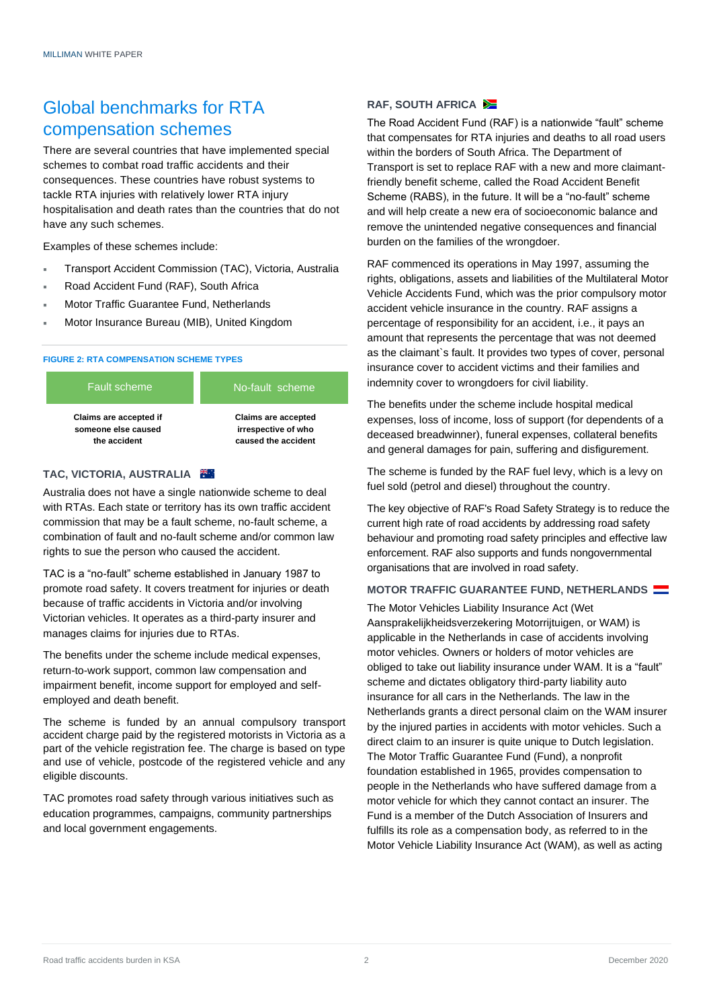## Global benchmarks for RTA compensation schemes

There are several countries that have implemented special schemes to combat road traffic accidents and their consequences. These countries have robust systems to tackle RTA injuries with relatively lower RTA injury hospitalisation and death rates than the countries that do not have any such schemes.

Examples of these schemes include:

- Transport Accident Commission (TAC), Victoria, Australia
- Road Accident Fund (RAF), South Africa
- Motor Traffic Guarantee Fund, Netherlands
- Motor Insurance Bureau (MIB), United Kingdom

#### **FIGURE 2: RTA COMPENSATION SCHEME TYPES**



#### **TAC, VICTORIA, AUSTRALIA**

Australia does not have a single nationwide scheme to deal with RTAs. Each state or territory has its own traffic accident commission that may be a fault scheme, no-fault scheme, a combination of fault and no-fault scheme and/or common law rights to sue the person who caused the accident.

TAC is a "no-fault" scheme established in January 1987 to promote road safety. It covers treatment for injuries or death because of traffic accidents in Victoria and/or involving Victorian vehicles. It operates as a third-party insurer and manages claims for injuries due to RTAs.

The benefits under the scheme include medical expenses, return-to-work support, common law compensation and impairment benefit, income support for employed and selfemployed and death benefit.

The scheme is funded by an annual compulsory transport accident charge paid by the registered motorists in Victoria as a part of the vehicle registration fee. The charge is based on type and use of vehicle, postcode of the registered vehicle and any eligible discounts.

TAC promotes road safety through various initiatives such as education programmes, campaigns, community partnerships and local government engagements.

#### **RAF, SOUTH AFRICA**

The Road Accident Fund (RAF) is a nationwide "fault" scheme that compensates for RTA injuries and deaths to all road users within the borders of South Africa. The Department of Transport is set to replace RAF with a new and more claimantfriendly benefit scheme, called the Road Accident Benefit Scheme (RABS), in the future. It will be a "no-fault" scheme and will help create a new era of socioeconomic balance and remove the unintended negative consequences and financial burden on the families of the wrongdoer.

RAF commenced its operations in May 1997, assuming the rights, obligations, assets and liabilities of the Multilateral Motor Vehicle Accidents Fund, which was the prior compulsory motor accident vehicle insurance in the country. RAF assigns a percentage of responsibility for an accident, i.e., it pays an amount that represents the percentage that was not deemed as the claimant`s fault. It provides two types of cover, personal insurance cover to accident victims and their families and indemnity cover to wrongdoers for civil liability.

The benefits under the scheme include hospital medical expenses, loss of income, loss of support (for dependents of a deceased breadwinner), funeral expenses, collateral benefits and general damages for pain, suffering and disfigurement.

The scheme is funded by the RAF fuel levy, which is a levy on fuel sold (petrol and diesel) throughout the country.

The key objective of RAF's Road Safety Strategy is to reduce the current high rate of road accidents by addressing road safety behaviour and promoting road safety principles and effective law enforcement. RAF also supports and funds nongovernmental organisations that are involved in road safety.

#### **MOTOR TRAFFIC GUARANTEE FUND, NETHERLANDS**

The Motor Vehicles Liability Insurance Act (Wet Aansprakelijkheidsverzekering Motorrijtuigen, or WAM) is applicable in the Netherlands in case of accidents involving motor vehicles. Owners or holders of motor vehicles are obliged to take out liability insurance under WAM. It is a "fault" scheme and dictates obligatory third-party liability auto insurance for all cars in the Netherlands. The law in the Netherlands grants a direct personal claim on the WAM insurer by the injured parties in accidents with motor vehicles. Such a direct claim to an insurer is quite unique to Dutch legislation. The Motor Traffic Guarantee Fund (Fund), a nonprofit foundation established in 1965, provides compensation to people in the Netherlands who have suffered damage from a motor vehicle for which they cannot contact an insurer. The Fund is a member of the Dutch Association of Insurers and fulfills its role as a compensation body, as referred to in the Motor Vehicle Liability Insurance Act (WAM), as well as acting